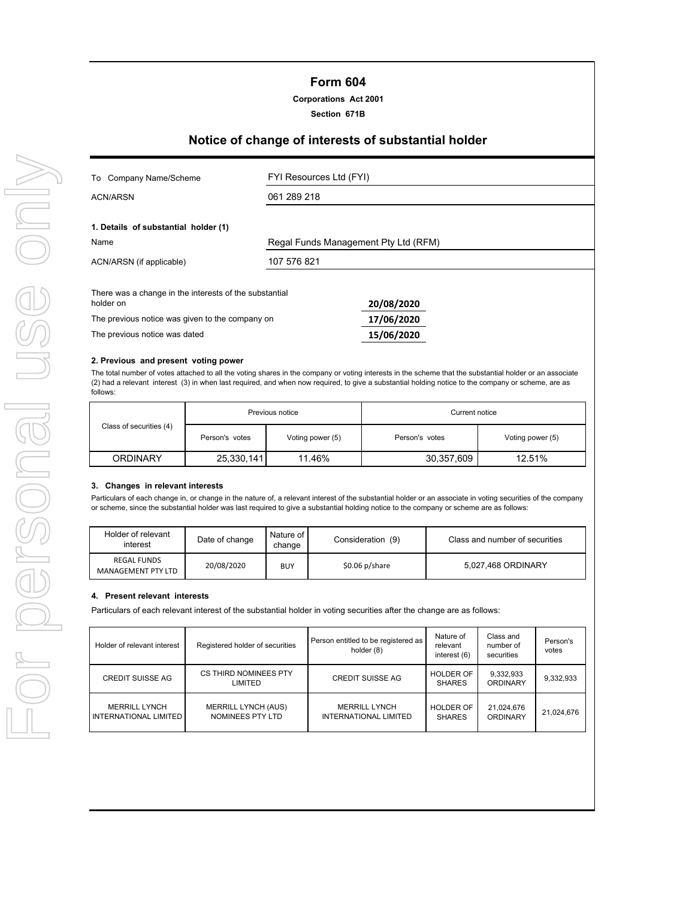## **Form 604**

## **Corporations Act 2001**

**Section 671B**

# **Notice of change of interests of substantial holder**

| Company Name/Scheme<br>To                                           | FYI Resources Ltd (FYI)              |            |  |
|---------------------------------------------------------------------|--------------------------------------|------------|--|
| ACN/ARSN                                                            | 061 289 218                          |            |  |
| 1. Details of substantial holder (1)<br>Name                        | Regal Funds Management Pty Ltd (RFM) |            |  |
| ACN/ARSN (if applicable)                                            | 107 576 821                          |            |  |
| There was a change in the interests of the substantial<br>holder on |                                      | 20/08/2020 |  |
| The previous notice was given to the company on                     |                                      | 17/06/2020 |  |
| The previous notice was dated                                       |                                      | 15/06/2020 |  |

#### **2. Previous and present voting power**

The total number of votes attached to all the voting shares in the company or voting interests in the scheme that the substantial holder or an associate (2) had a relevant interest (3) in when last required, and when now required, to give a substantial holding notice to the company or scheme, are as follows:

| Previous notice         |                                    |        | Current notice |                  |
|-------------------------|------------------------------------|--------|----------------|------------------|
| Class of securities (4) | Voting power (5)<br>Person's votes |        | Person's votes | Voting power (5) |
| ORDINARY                | 25,330,141                         | 11.46% | 30,357,609     | 12.51%           |

#### **3. Changes in relevant interests**

Particulars of each change in, or change in the nature of, a relevant interest of the substantial holder or an associate in voting securities of the company or scheme, since the substantial holder was last required to give a substantial holding notice to the company or scheme are as follows:

| Holder of relevant<br>interest           | Date of change | Nature of I<br>change | Consideration (9) | Class and number of securities |
|------------------------------------------|----------------|-----------------------|-------------------|--------------------------------|
| <b>REGAL FUNDS</b><br>MANAGEMENT PTY LTD | 20/08/2020     | <b>BUY</b>            | $$0.06\ p/s$ hare | 5.027.468 ORDINARY             |

## **4. Present relevant interests**

Particulars of each relevant interest of the substantial holder in voting securities after the change are as follows:

| Holder of relevant interest                          | Registered holder of securities                | Person entitled to be registered as<br>holder (8) | Nature of<br>relevant<br>interest (6) | Class and<br>number of<br>securities | Person's<br>votes |
|------------------------------------------------------|------------------------------------------------|---------------------------------------------------|---------------------------------------|--------------------------------------|-------------------|
| <b>CREDIT SUISSE AG</b>                              | CS THIRD NOMINEES PTY<br><b>LIMITED</b>        | <b>CREDIT SUISSE AG</b>                           | <b>HOLDER OF</b><br><b>SHARES</b>     | 9,332,933<br>ORDINARY                | 9,332,933         |
| <b>MERRILL LYNCH</b><br><b>INTERNATIONAL LIMITED</b> | <b>MERRILL LYNCH (AUS)</b><br>NOMINEES PTY LTD | <b>MERRILL LYNCH</b><br>INTERNATIONAL LIMITED     | <b>HOLDER OF</b><br><b>SHARES</b>     | 21,024,676<br>ORDINARY               | 21,024,676        |